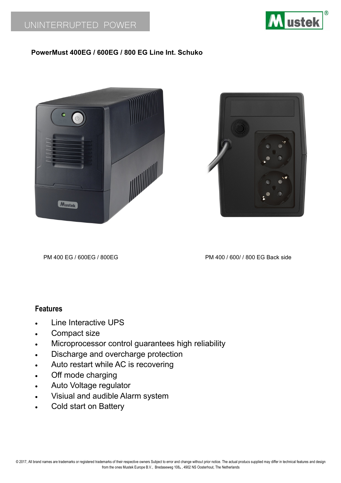

## **PowerMust 400EG / 600EG / 800 EG Line Int. Schuko**





PM 400 EG / 600EG / 800EG <br>
PM 400 / 600 / 800 EG Back side

## **Features**

- Line Interactive UPS
- Compact size
- Microprocessor control guarantees high reliability
- **•** Discharge and overcharge protection
- Auto restart while AC is recovering
- Off mode charging
- Auto Voltage regulator
- Visiual and audible Alarm system
- Cold start on Battery